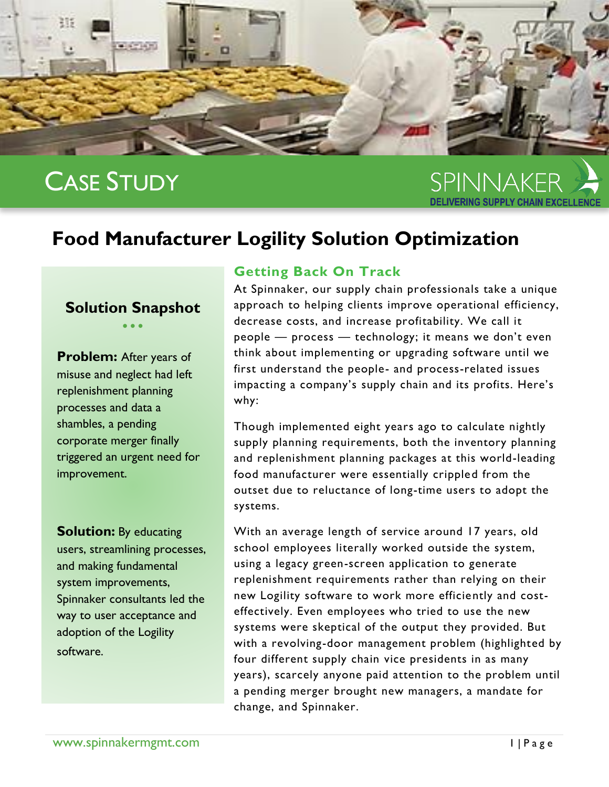

# CASE STUDY

SPINNAKFR

## **Food Manufacturer Logility Solution Optimization**

## **Solution Snapshot**  $\bullet$   $\bullet$   $\bullet$

**Problem:** After years of misuse and neglect had left replenishment planning processes and data a shambles, a pending corporate merger finally triggered an urgent need for improvement.

**Solution:** By educating users, streamlining processes, and making fundamental system improvements, Spinnaker consultants led the way to user acceptance and adoption of the Logility software.

## **Getting Back On Track**

At Spinnaker, our supply chain professionals take a unique approach to helping clients improve operational efficiency, decrease costs, and increase profitability. We call it people — process — technology; it means we don't even think about implementing or upgrading software until we first understand the people- and process-related issues impacting a company's supply chain and its profits. Here's why:

Though implemented eight years ago to calculate nightly supply planning requirements, both the inventory planning and replenishment planning packages at this world-leading food manufacturer were essentially crippled from the outset due to reluctance of long-time users to adopt the systems.

With an average length of service around 17 years, old school employees literally worked outside the system, using a legacy green-screen application to generate replenishment requirements rather than relying on their new Logility software to work more efficiently and costeffectively. Even employees who tried to use the new systems were skeptical of the output they provided. But with a revolving-door management problem (highlighted by four different supply chain vice presidents in as many years), scarcely anyone paid attention to the problem until a pending merger brought new managers, a mandate for change, and Spinnaker.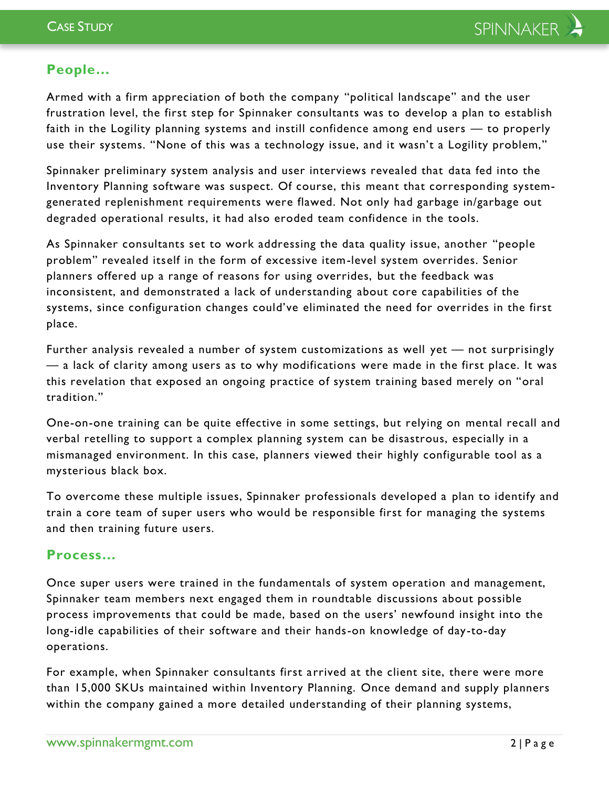## **People…**

Armed with a firm appreciation of both the company "political landscape" and the user frustration level, the first step for Spinnaker consultants was to develop a plan to establish faith in the Logility planning systems and instill confidence among end users — to properly use their systems. "None of this was a technology issue, and it wasn't a Logility problem,"

Spinnaker preliminary system analysis and user interviews revealed that data fed into the Inventory Planning software was suspect. Of course, this meant that corresponding systemgenerated replenishment requirements were flawed. Not only had garbage in/garbage out degraded operational results, it had also eroded team confidence in the tools.

As Spinnaker consultants set to work addressing the data quality issue, another "people problem" revealed itself in the form of excessive item-level system overrides. Senior planners offered up a range of reasons for using overrides, but the feedback was inconsistent, and demonstrated a lack of understanding about core capabilities of the systems, since configuration changes could've eliminated the need for overrides in the first place.

Further analysis revealed a number of system customizations as well yet — not surprisingly — a lack of clarity among users as to why modifications were made in the first place. It was this revelation that exposed an ongoing practice of system training based merely on "oral tradition."

One-on-one training can be quite effective in some settings, but relying on mental recall and verbal retelling to support a complex planning system can be disastrous, especially in a mismanaged environment. In this case, planners viewed their highly configurable tool as a mysterious black box.

To overcome these multiple issues, Spinnaker professionals developed a plan to identify and train a core team of super users who would be responsible first for managing the systems and then training future users.

## **Process…**

Once super users were trained in the fundamentals of system operation and management, Spinnaker team members next engaged them in roundtable discussions about possible process improvements that could be made, based on the users' newfound insight into the long-idle capabilities of their software and their hands-on knowledge of day-to-day operations.

For example, when Spinnaker consultants first a rrived at the client site, there were more than 15,000 SKUs maintained within Inventory Planning. Once demand and supply planners within the company gained a more detailed understanding of their planning systems,